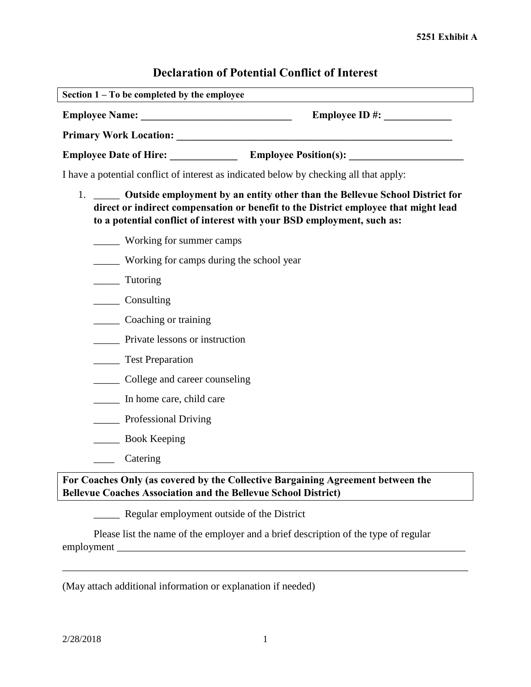# **Declaration of Potential Conflict of Interest**

| Section $1 - To$ be completed by the employee |                              |
|-----------------------------------------------|------------------------------|
| <b>Employee Name:</b>                         | <b>Employee ID#:</b>         |
| <b>Primary Work Location:</b>                 |                              |
| <b>Employee Date of Hire:</b>                 | <b>Employee Position(s):</b> |

I have a potential conflict of interest as indicated below by checking all that apply:

- 1. \_\_\_\_\_ **Outside employment by an entity other than the Bellevue School District for direct or indirect compensation or benefit to the District employee that might lead to a potential conflict of interest with your BSD employment, such as:** 
	- \_\_\_\_\_ Working for summer camps
	- \_\_\_\_\_ Working for camps during the school year
	- \_\_\_\_\_ Tutoring
	- \_\_\_\_\_ Consulting
	- \_\_\_\_\_ Coaching or training
	- \_\_\_\_\_ Private lessons or instruction
	- **\_\_\_\_\_\_** Test Preparation
	- \_\_\_\_\_ College and career counseling
	- \_\_\_\_\_ In home care, child care
	- \_\_\_\_\_ Professional Driving
	- \_\_\_\_\_ Book Keeping
	- \_\_\_\_ Catering

## **For Coaches Only (as covered by the Collective Bargaining Agreement between the Bellevue Coaches Association and the Bellevue School District)**

**EXECUTE:** Regular employment outside of the District

Please list the name of the employer and a brief description of the type of regular employment \_\_\_\_\_\_\_\_\_\_\_\_\_\_\_\_\_\_\_\_\_\_\_\_\_\_\_\_\_\_\_\_\_\_\_\_\_\_\_\_\_\_\_\_\_\_\_\_\_\_\_\_\_\_\_\_\_\_\_\_\_\_\_\_\_\_\_

(May attach additional information or explanation if needed)

\_\_\_\_\_\_\_\_\_\_\_\_\_\_\_\_\_\_\_\_\_\_\_\_\_\_\_\_\_\_\_\_\_\_\_\_\_\_\_\_\_\_\_\_\_\_\_\_\_\_\_\_\_\_\_\_\_\_\_\_\_\_\_\_\_\_\_\_\_\_\_\_\_\_\_\_\_\_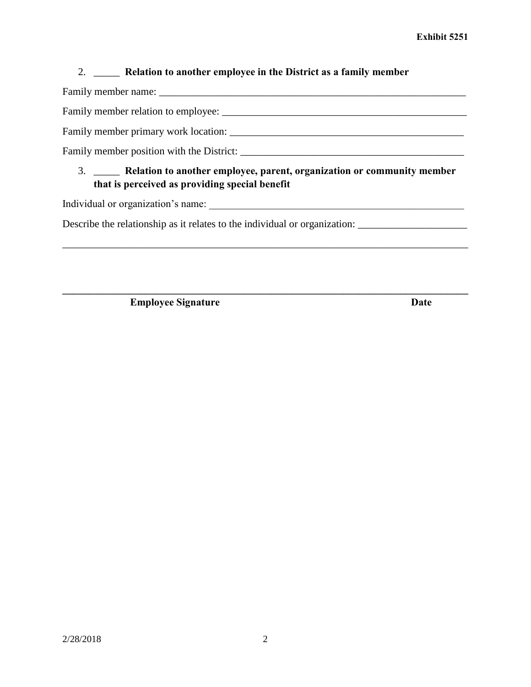## 2. \_\_\_\_\_ **Relation to another employee in the District as a family member**

Family member name: \_\_\_\_\_\_\_\_\_\_\_\_\_\_\_\_\_\_\_\_\_\_\_\_\_\_\_\_\_\_\_\_\_\_\_\_\_\_\_\_\_\_\_\_\_\_\_\_\_\_\_\_\_\_\_\_\_\_\_

Family member relation to employee: \_\_\_\_\_\_\_\_\_\_\_\_\_\_\_\_\_\_\_\_\_\_\_\_\_\_\_\_\_\_\_\_\_\_\_\_\_\_\_\_\_\_\_\_\_\_\_

Family member primary work location: \_\_\_\_\_\_\_\_\_\_\_\_\_\_\_\_\_\_\_\_\_\_\_\_\_\_\_\_\_\_\_\_\_\_\_\_\_\_\_\_\_\_\_\_\_

Family member position with the District: \_\_\_\_\_\_\_\_\_\_\_\_\_\_\_\_\_\_\_\_\_\_\_\_\_\_\_\_\_\_\_\_\_\_\_\_\_\_\_\_\_\_\_

# 3. \_\_\_\_\_ **Relation to another employee, parent, organization or community member that is perceived as providing special benefit**

\_\_\_\_\_\_\_\_\_\_\_\_\_\_\_\_\_\_\_\_\_\_\_\_\_\_\_\_\_\_\_\_\_\_\_\_\_\_\_\_\_\_\_\_\_\_\_\_\_\_\_\_\_\_\_\_\_\_\_\_\_\_\_\_\_\_\_\_\_\_\_\_\_\_\_\_\_\_

**\_\_\_\_\_\_\_\_\_\_\_\_\_\_\_\_\_\_\_\_\_\_\_\_\_\_\_\_\_\_\_\_\_\_\_\_\_\_\_\_\_\_\_\_\_\_\_\_\_\_\_\_\_\_\_\_\_\_\_\_\_\_\_\_\_\_\_\_\_\_\_\_\_\_\_\_\_\_**

Individual or organization's name:

Describe the relationship as it relates to the individual or organization: \_\_\_\_\_\_\_\_\_\_\_\_\_\_\_\_\_\_\_\_\_\_\_\_

**Employee Signature Date**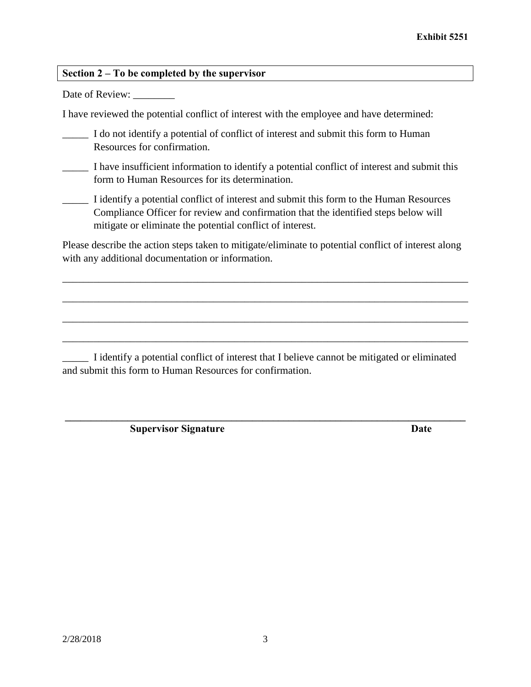### **Section 2 – To be completed by the supervisor**

Date of Review:

I have reviewed the potential conflict of interest with the employee and have determined:

I do not identify a potential of conflict of interest and submit this form to Human Resources for confirmation.

\_\_\_\_\_ I have insufficient information to identify a potential conflict of interest and submit this form to Human Resources for its determination.

\_\_\_\_\_ I identify a potential conflict of interest and submit this form to the Human Resources Compliance Officer for review and confirmation that the identified steps below will mitigate or eliminate the potential conflict of interest.

Please describe the action steps taken to mitigate/eliminate to potential conflict of interest along with any additional documentation or information.

\_\_\_\_\_\_\_\_\_\_\_\_\_\_\_\_\_\_\_\_\_\_\_\_\_\_\_\_\_\_\_\_\_\_\_\_\_\_\_\_\_\_\_\_\_\_\_\_\_\_\_\_\_\_\_\_\_\_\_\_\_\_\_\_\_\_\_\_\_\_\_\_\_\_\_\_\_\_

\_\_\_\_\_\_\_\_\_\_\_\_\_\_\_\_\_\_\_\_\_\_\_\_\_\_\_\_\_\_\_\_\_\_\_\_\_\_\_\_\_\_\_\_\_\_\_\_\_\_\_\_\_\_\_\_\_\_\_\_\_\_\_\_\_\_\_\_\_\_\_\_\_\_\_\_\_\_

\_\_\_\_\_\_\_\_\_\_\_\_\_\_\_\_\_\_\_\_\_\_\_\_\_\_\_\_\_\_\_\_\_\_\_\_\_\_\_\_\_\_\_\_\_\_\_\_\_\_\_\_\_\_\_\_\_\_\_\_\_\_\_\_\_\_\_\_\_\_\_\_\_\_\_\_\_\_

\_\_\_\_\_\_\_\_\_\_\_\_\_\_\_\_\_\_\_\_\_\_\_\_\_\_\_\_\_\_\_\_\_\_\_\_\_\_\_\_\_\_\_\_\_\_\_\_\_\_\_\_\_\_\_\_\_\_\_\_\_\_\_\_\_\_\_\_\_\_\_\_\_\_\_\_\_\_

**\_\_\_\_\_\_\_\_\_\_\_\_\_\_\_\_\_\_\_\_\_\_\_\_\_\_\_\_\_\_\_\_\_\_\_\_\_\_\_\_\_\_\_\_\_\_\_\_\_\_\_\_\_\_\_\_\_\_\_\_\_\_\_\_\_\_\_\_\_\_\_\_\_\_\_\_\_**

\_\_\_\_\_ I identify a potential conflict of interest that I believe cannot be mitigated or eliminated and submit this form to Human Resources for confirmation.

**Supervisor Signature Date**